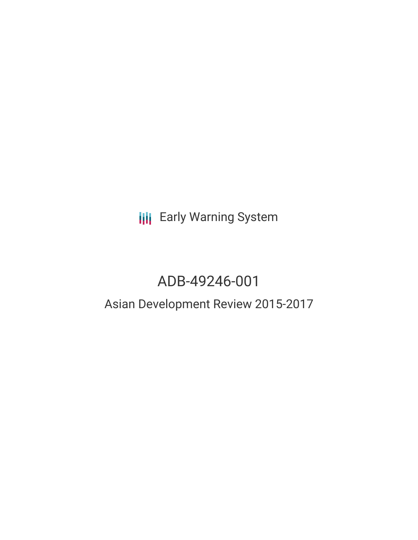**III** Early Warning System

# ADB-49246-001

## Asian Development Review 2015-2017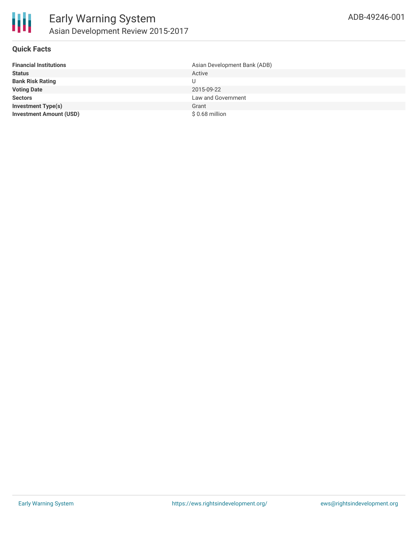

## **Quick Facts**

| <b>Financial Institutions</b>  | Asian Development Bank (ADB) |
|--------------------------------|------------------------------|
| <b>Status</b>                  | Active                       |
| <b>Bank Risk Rating</b>        |                              |
| <b>Voting Date</b>             | 2015-09-22                   |
| <b>Sectors</b>                 | Law and Government           |
| <b>Investment Type(s)</b>      | Grant                        |
| <b>Investment Amount (USD)</b> | \$0.68 million               |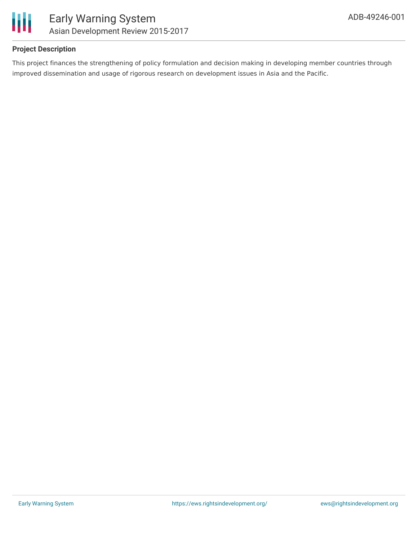

## **Project Description**

This project finances the strengthening of policy formulation and decision making in developing member countries through improved dissemination and usage of rigorous research on development issues in Asia and the Pacific.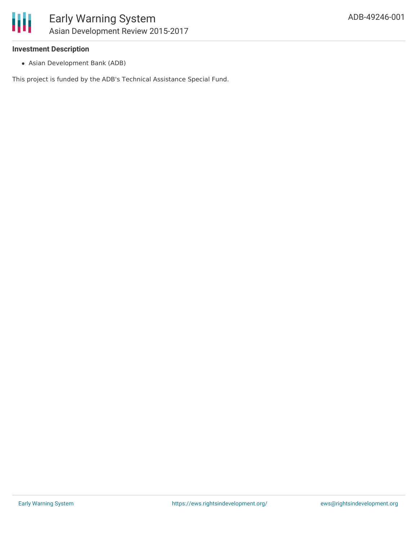## **Investment Description**

Asian Development Bank (ADB)

This project is funded by the ADB's Technical Assistance Special Fund.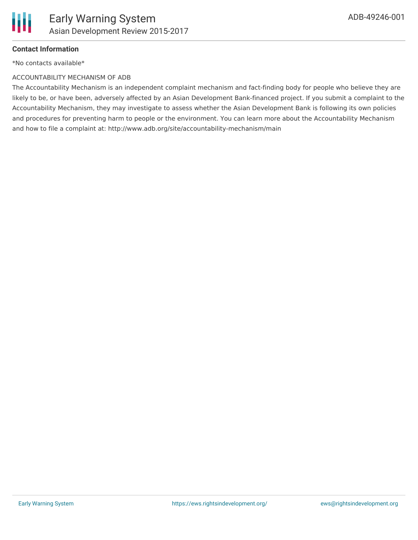

## **Contact Information**

\*No contacts available\*

### ACCOUNTABILITY MECHANISM OF ADB

The Accountability Mechanism is an independent complaint mechanism and fact-finding body for people who believe they are likely to be, or have been, adversely affected by an Asian Development Bank-financed project. If you submit a complaint to the Accountability Mechanism, they may investigate to assess whether the Asian Development Bank is following its own policies and procedures for preventing harm to people or the environment. You can learn more about the Accountability Mechanism and how to file a complaint at: http://www.adb.org/site/accountability-mechanism/main